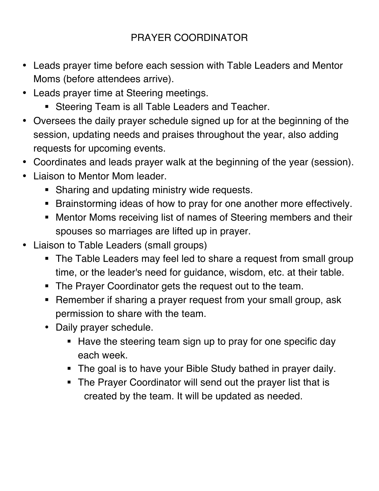- Leads prayer time before each session with Table Leaders and Mentor Moms (before attendees arrive).
- Leads prayer time at Steering meetings.
	- Steering Team is all Table Leaders and Teacher.
- Oversees the daily prayer schedule signed up for at the beginning of the session, updating needs and praises throughout the year, also adding requests for upcoming events.
- Coordinates and leads prayer walk at the beginning of the year (session).
- Liaison to Mentor Mom leader.
	- Sharing and updating ministry wide requests.
	- Brainstorming ideas of how to pray for one another more effectively.
	- Mentor Moms receiving list of names of Steering members and their spouses so marriages are lifted up in prayer.
- Liaison to Table Leaders (small groups)
	- The Table Leaders may feel led to share a request from small group time, or the leader's need for guidance, wisdom, etc. at their table.
	- The Prayer Coordinator gets the request out to the team.
	- Remember if sharing a prayer request from your small group, ask permission to share with the team.
	- Daily prayer schedule.
		- Have the steering team sign up to pray for one specific day each week.
		- The goal is to have your Bible Study bathed in prayer daily.
		- The Prayer Coordinator will send out the prayer list that is created by the team. It will be updated as needed.